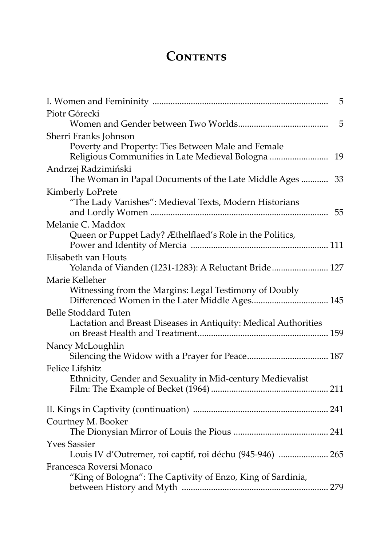## **CONTENTS**

| 5                                                                                                                          |
|----------------------------------------------------------------------------------------------------------------------------|
| Piotr Górecki                                                                                                              |
| 5                                                                                                                          |
| Sherri Franks Johnson                                                                                                      |
| Poverty and Property: Ties Between Male and Female<br>Religious Communities in Late Medieval Bologna<br>19                 |
| Andrzej Radzimiński<br>The Woman in Papal Documents of the Late Middle Ages<br>33                                          |
| Kimberly LoPrete<br>"The Lady Vanishes": Medieval Texts, Modern Historians<br>55                                           |
| Melanie C. Maddox                                                                                                          |
| Queen or Puppet Lady? Æthelflaed's Role in the Politics,                                                                   |
| Elisabeth van Houts<br>Yolanda of Vianden (1231-1283): A Reluctant Bride 127                                               |
| Marie Kelleher<br>Witnessing from the Margins: Legal Testimony of Doubly<br>Differenced Women in the Later Middle Ages 145 |
| <b>Belle Stoddard Tuten</b><br>Lactation and Breast Diseases in Antiquity: Medical Authorities                             |
| Nancy McLoughlin                                                                                                           |
| <b>Felice Lifshitz</b>                                                                                                     |
| Ethnicity, Gender and Sexuality in Mid-century Medievalist                                                                 |
|                                                                                                                            |
| Courtney M. Booker                                                                                                         |
| <b>Yves Sassier</b><br>Louis IV d'Outremer, roi captif, roi déchu (945-946)  265                                           |
| Francesca Roversi Monaco<br>"King of Bologna": The Captivity of Enzo, King of Sardinia,                                    |